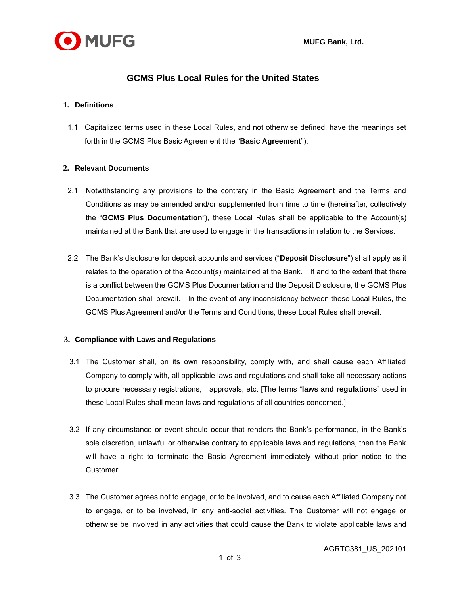

# **GCMS Plus Local Rules for the United States**

## **1. Definitions**

1.1 Capitalized terms used in these Local Rules, and not otherwise defined, have the meanings set forth in the GCMS Plus Basic Agreement (the "**Basic Agreement**").

#### **2. Relevant Documents**

- 2.1 Notwithstanding any provisions to the contrary in the Basic Agreement and the Terms and Conditions as may be amended and/or supplemented from time to time (hereinafter, collectively the "**GCMS Plus Documentation**"), these Local Rules shall be applicable to the Account(s) maintained at the Bank that are used to engage in the transactions in relation to the Services.
- 2.2 The Bank's disclosure for deposit accounts and services ("**Deposit Disclosure**") shall apply as it relates to the operation of the Account(s) maintained at the Bank. If and to the extent that there is a conflict between the GCMS Plus Documentation and the Deposit Disclosure, the GCMS Plus Documentation shall prevail. In the event of any inconsistency between these Local Rules, the GCMS Plus Agreement and/or the Terms and Conditions, these Local Rules shall prevail.

## **3. Compliance with Laws and Regulations**

- 3.1 The Customer shall, on its own responsibility, comply with, and shall cause each Affiliated Company to comply with, all applicable laws and regulations and shall take all necessary actions to procure necessary registrations, approvals, etc. [The terms "**laws and regulations**" used in these Local Rules shall mean laws and regulations of all countries concerned.]
- 3.2 If any circumstance or event should occur that renders the Bank's performance, in the Bank's sole discretion, unlawful or otherwise contrary to applicable laws and regulations, then the Bank will have a right to terminate the Basic Agreement immediately without prior notice to the Customer.
- 3.3 The Customer agrees not to engage, or to be involved, and to cause each Affiliated Company not to engage, or to be involved, in any anti-social activities. The Customer will not engage or otherwise be involved in any activities that could cause the Bank to violate applicable laws and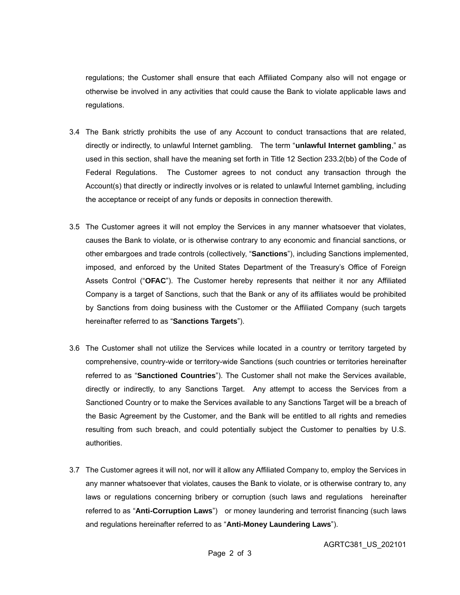regulations; the Customer shall ensure that each Affiliated Company also will not engage or otherwise be involved in any activities that could cause the Bank to violate applicable laws and regulations.

- 3.4 The Bank strictly prohibits the use of any Account to conduct transactions that are related, directly or indirectly, to unlawful Internet gambling. The term "**unlawful Internet gambling**," as used in this section, shall have the meaning set forth in Title 12 Section 233.2(bb) of the Code of Federal Regulations. The Customer agrees to not conduct any transaction through the Account(s) that directly or indirectly involves or is related to unlawful Internet gambling, including the acceptance or receipt of any funds or deposits in connection therewith.
- 3.5 The Customer agrees it will not employ the Services in any manner whatsoever that violates, causes the Bank to violate, or is otherwise contrary to any economic and financial sanctions, or other embargoes and trade controls (collectively, "**Sanctions**"), including Sanctions implemented, imposed, and enforced by the United States Department of the Treasury's Office of Foreign Assets Control ("**OFAC**"). The Customer hereby represents that neither it nor any Affiliated Company is a target of Sanctions, such that the Bank or any of its affiliates would be prohibited by Sanctions from doing business with the Customer or the Affiliated Company (such targets hereinafter referred to as "**Sanctions Targets**").
- 3.6 The Customer shall not utilize the Services while located in a country or territory targeted by comprehensive, country-wide or territory-wide Sanctions (such countries or territories hereinafter referred to as "**Sanctioned Countries**"). The Customer shall not make the Services available, directly or indirectly, to any Sanctions Target. Any attempt to access the Services from a Sanctioned Country or to make the Services available to any Sanctions Target will be a breach of the Basic Agreement by the Customer, and the Bank will be entitled to all rights and remedies resulting from such breach, and could potentially subject the Customer to penalties by U.S. authorities.
- 3.7 The Customer agrees it will not, nor will it allow any Affiliated Company to, employ the Services in any manner whatsoever that violates, causes the Bank to violate, or is otherwise contrary to, any laws or regulations concerning bribery or corruption (such laws and regulations hereinafter referred to as "**Anti-Corruption Laws**") or money laundering and terrorist financing (such laws and regulations hereinafter referred to as "**Anti-Money Laundering Laws**").